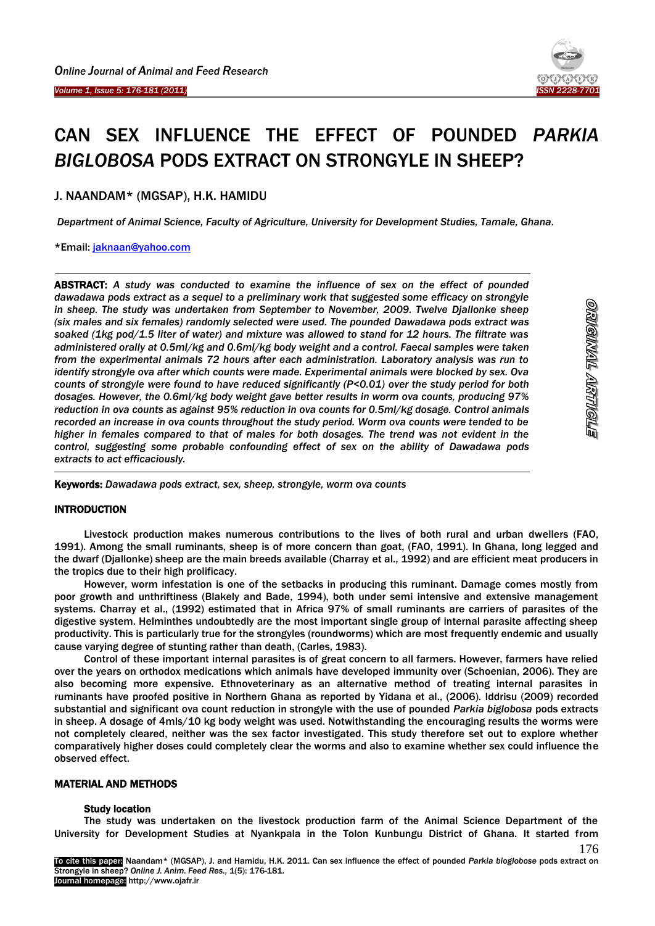

<u>ornginnal arribuels</u>

176

# CAN SEX INFLUENCE THE EFFECT OF POUNDED *PARKIA BIGLOBOSA* PODS EXTRACT ON STRONGYLE IN SHEEP?

J. NAANDAM\* (MGSAP), H.K. HAMIDU

*Department of Animal Science, Faculty of Agriculture, University for Development Studies, Tamale, Ghana.* 

\*Email: [jaknaan@yahoo.com](mailto:jaknaan@yahoo.com)

Ï

<u>.</u>

ABSTRACT: *A study was conducted to examine the influence of sex on the effect of pounded dawadawa pods extract as a sequel to a preliminary work that suggested some efficacy on strongyle in sheep. The study was undertaken from September to November, 2009. Twelve Djallonke sheep (six males and six females) randomly selected were used. The pounded Dawadawa pods extract was soaked (1kg pod/1.5 liter of water) and mixture was allowed to stand for 12 hours. The filtrate was administered orally at 0.5ml/kg and 0.6ml/kg body weight and a control. Faecal samples were taken from the experimental animals 72 hours after each administration. Laboratory analysis was run to identify strongyle ova after which counts were made. Experimental animals were blocked by sex. Ova counts of strongyle were found to have reduced significantly (P<0.01) over the study period for both dosages. However, the 0.6ml/kg body weight gave better results in worm ova counts, producing 97% reduction in ova counts as against 95% reduction in ova counts for 0.5ml/kg dosage. Control animals recorded an increase in ova counts throughout the study period. Worm ova counts were tended to be higher in females compared to that of males for both dosages. The trend was not evident in the control, suggesting some probable confounding effect of sex on the ability of Dawadawa pods extracts to act efficaciously.* 

-Keywords: *Dawadawa pods extract, sex, sheep, strongyle, worm ova counts*

# INTRODUCTION

Livestock production makes numerous contributions to the lives of both rural and urban dwellers (FAO, 1991). Among the small ruminants, sheep is of more concern than goat, (FAO, 1991). In Ghana, long legged and the dwarf (Djallonke) sheep are the main breeds available (Charray et al., 1992) and are efficient meat producers in the tropics due to their high prolificacy.

However, worm infestation is one of the setbacks in producing this ruminant. Damage comes mostly from poor growth and unthriftiness (Blakely and Bade, 1994), both under semi intensive and extensive management systems. Charray et al., (1992) estimated that in Africa 97% of small ruminants are carriers of parasites of the digestive system. Helminthes undoubtedly are the most important single group of internal parasite affecting sheep productivity. This is particularly true for the strongyles (roundworms) which are most frequently endemic and usually cause varying degree of stunting rather than death, (Carles, 1983).

Control of these important internal parasites is of great concern to all farmers. However, farmers have relied over the years on orthodox medications which animals have developed immunity over (Schoenian, 2006). They are also becoming more expensive. Ethnoveterinary as an alternative method of treating internal parasites in ruminants have proofed positive in Northern Ghana as reported by Yidana et al., (2006). Iddrisu (2009) recorded substantial and significant ova count reduction in strongyle with the use of pounded *Parkia biglobosa* pods extracts in sheep. A dosage of 4mls/10 kg body weight was used. Notwithstanding the encouraging results the worms were not completely cleared, neither was the sex factor investigated. This study therefore set out to explore whether comparatively higher doses could completely clear the worms and also to examine whether sex could influence the observed effect.

# MATERIAL AND METHODS

#### Study location

The study was undertaken on the livestock production farm of the Animal Science Department of the University for Development Studies at Nyankpala in the Tolon Kunbungu District of Ghana. It started from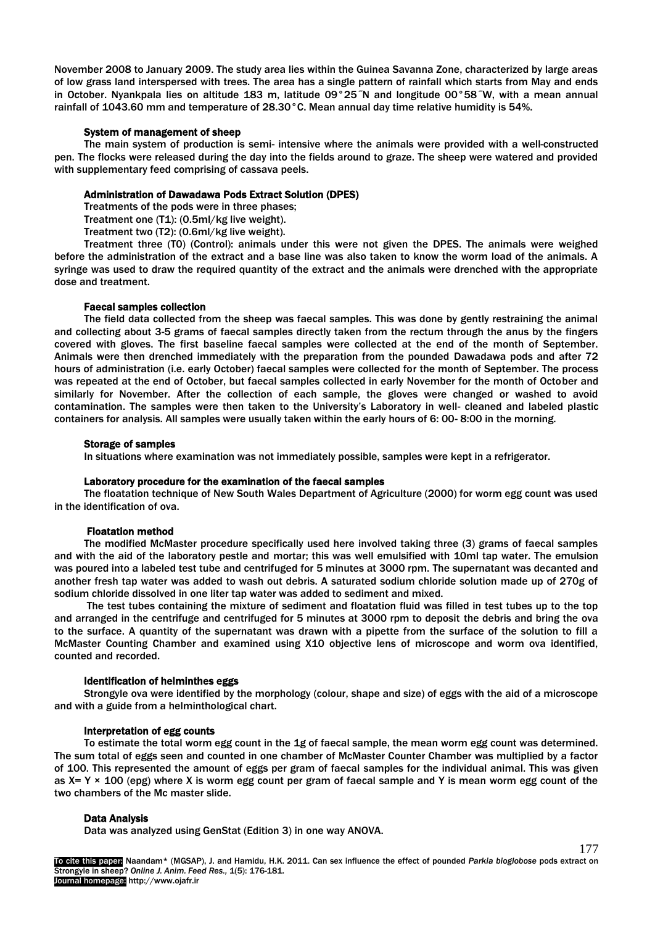November 2008 to January 2009. The study area lies within the Guinea Savanna Zone, characterized by large areas of low grass land interspersed with trees. The area has a single pattern of rainfall which starts from May and ends in October. Nyankpala lies on altitude 183 m, latitude 09°25˝N and longitude 00°58˝W, with a mean annual rainfall of 1043.60 mm and temperature of 28.30°C. Mean annual day time relative humidity is 54%.

### System of management of sheep

The main system of production is semi- intensive where the animals were provided with a well-constructed pen. The flocks were released during the day into the fields around to graze. The sheep were watered and provided with supplementary feed comprising of cassava peels.

## Administration of Dawadawa Pods Extract Solution (DPES)

Treatments of the pods were in three phases;

Treatment one (T1): (0.5ml/kg live weight).

Treatment two (T2): (0.6ml/kg live weight).

Treatment three (T0) (Control): animals under this were not given the DPES. The animals were weighed before the administration of the extract and a base line was also taken to know the worm load of the animals. A syringe was used to draw the required quantity of the extract and the animals were drenched with the appropriate dose and treatment.

# Faecal samples collection

The field data collected from the sheep was faecal samples. This was done by gently restraining the animal and collecting about 3-5 grams of faecal samples directly taken from the rectum through the anus by the fingers covered with gloves. The first baseline faecal samples were collected at the end of the month of September. Animals were then drenched immediately with the preparation from the pounded Dawadawa pods and after 72 hours of administration (i.e. early October) faecal samples were collected for the month of September. The process was repeated at the end of October, but faecal samples collected in early November for the month of October and similarly for November. After the collection of each sample, the gloves were changed or washed to avoid contamination. The samples were then taken to the University's Laboratory in well- cleaned and labeled plastic containers for analysis. All samples were usually taken within the early hours of 6: 00- 8:00 in the morning.

## Storage of samples

In situations where examination was not immediately possible, samples were kept in a refrigerator.

#### Laboratory procedure for the examination of the faecal samples

The floatation technique of New South Wales Department of Agriculture (2000) for worm egg count was used in the identification of ova.

# Floatation method

The modified McMaster procedure specifically used here involved taking three (3) grams of faecal samples and with the aid of the laboratory pestle and mortar; this was well emulsified with 10ml tap water. The emulsion was poured into a labeled test tube and centrifuged for 5 minutes at 3000 rpm. The supernatant was decanted and another fresh tap water was added to wash out debris. A saturated sodium chloride solution made up of 270g of sodium chloride dissolved in one liter tap water was added to sediment and mixed.

The test tubes containing the mixture of sediment and floatation fluid was filled in test tubes up to the top and arranged in the centrifuge and centrifuged for 5 minutes at 3000 rpm to deposit the debris and bring the ova to the surface. A quantity of the supernatant was drawn with a pipette from the surface of the solution to fill a McMaster Counting Chamber and examined using X10 objective lens of microscope and worm ova identified, counted and recorded.

#### Identification of helminthes eggs

Strongyle ova were identified by the morphology (colour, shape and size) of eggs with the aid of a microscope and with a guide from a helminthological chart.

# Interpretation of egg counts

To estimate the total worm egg count in the 1g of faecal sample, the mean worm egg count was determined. The sum total of eggs seen and counted in one chamber of McMaster Counter Chamber was multiplied by a factor of 100. This represented the amount of eggs per gram of faecal samples for the individual animal. This was given as  $X = Y \times 100$  (epg) where X is worm egg count per gram of faecal sample and Y is mean worm egg count of the two chambers of the Mc master slide.

# Data Analysis

Data was analyzed using GenStat (Edition 3) in one way ANOVA.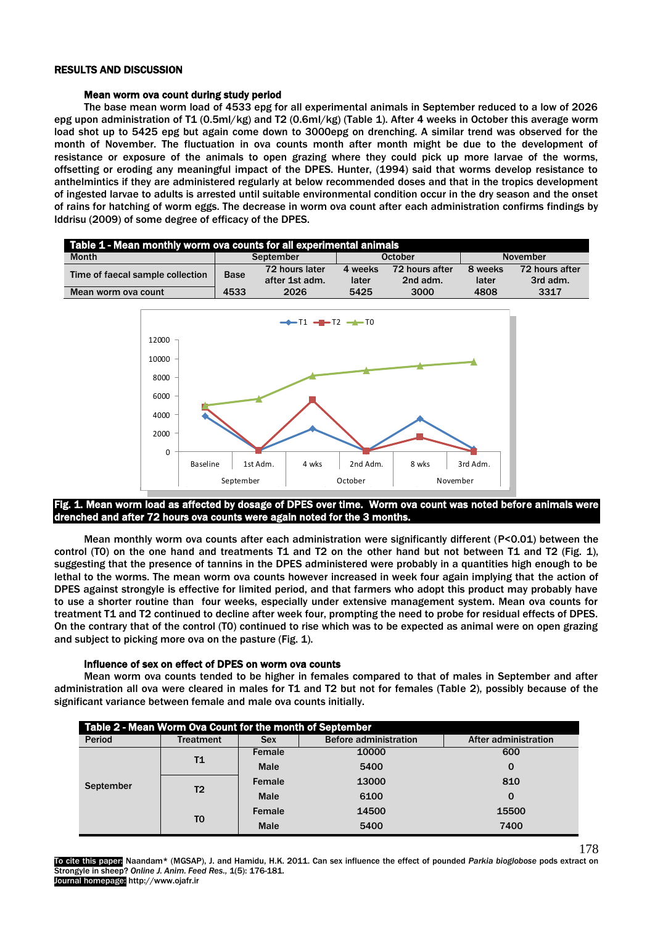## RESULTS AND DISCUSSION

## Mean worm ova count during study period

The base mean worm load of 4533 epg for all experimental animals in September reduced to a low of 2026 epg upon administration of T1 (0.5ml/kg) and T2 (0.6ml/kg) (Table 1). After 4 weeks in October this average worm load shot up to 5425 epg but again come down to 3000epg on drenching. A similar trend was observed for the month of November. The fluctuation in ova counts month after month might be due to the development of resistance or exposure of the animals to open grazing where they could pick up more larvae of the worms, offsetting or eroding any meaningful impact of the DPES. Hunter, (1994) said that worms develop resistance to anthelmintics if they are administered regularly at below recommended doses and that in the tropics development of ingested larvae to adults is arrested until suitable environmental condition occur in the dry season and the onset of rains for hatching of worm eggs. The decrease in worm ova count after each administration confirms findings by Iddrisu (2009) of some degree of efficacy of the DPES.

| Table 1 - Mean monthly worm ova counts for all experimental animals |                     |                        |                |                  |                 |                  |  |  |  |
|---------------------------------------------------------------------|---------------------|------------------------|----------------|------------------|-----------------|------------------|--|--|--|
| <b>Month</b>                                                        | September           |                        | <b>October</b> |                  | <b>November</b> |                  |  |  |  |
| Time of faecal sample collection<br>Mean worm ova count             | <b>Base</b><br>4533 | 72 hours later         | 4 weeks        | 72 hours after   | 8 weeks         | 72 hours after   |  |  |  |
|                                                                     |                     | after 1st adm.<br>2026 | later<br>5425  | 2nd adm.<br>3000 | later<br>4808   | 3rd adm.<br>3317 |  |  |  |
|                                                                     |                     |                        |                |                  |                 |                  |  |  |  |



# ig. 1. Mean worm load as affected by dosage of DPES over time. Worm ova count was noted before animals were drenched and after 72 hours ova counts were again noted for the 3 months.

I

Mean monthly worm ova counts after each administration were significantly different (P<0.01) between the control (T0) on the one hand and treatments T1 and T2 on the other hand but not between T1 and T2 (Fig. 1), suggesting that the presence of tannins in the DPES administered were probably in a quantities high enough to be lethal to the worms. The mean worm ova counts however increased in week four again implying that the action of DPES against strongyle is effective for limited period, and that farmers who adopt this product may probably have to use a shorter routine than four weeks, especially under extensive management system. Mean ova counts for treatment T1 and T2 continued to decline after week four, prompting the need to probe for residual effects of DPES. On the contrary that of the control (T0) continued to rise which was to be expected as animal were on open grazing and subject to picking more ova on the pasture (Fig. 1).

# Influence of sex on effect of DPES on worm ova counts

Mean worm ova counts tended to be higher in females compared to that of males in September and after administration all ova were cleared in males for T1 and T2 but not for females (Table 2), possibly because of the significant variance between female and male ova counts initially.

| Table 2 - Mean Worm Ova Count for the month of September |                  |                                            |       |                      |  |  |  |  |
|----------------------------------------------------------|------------------|--------------------------------------------|-------|----------------------|--|--|--|--|
| Period                                                   | <b>Treatment</b> | <b>Before administration</b><br><b>Sex</b> |       | After administration |  |  |  |  |
| September                                                | Τ1               | Female                                     | 10000 | 600                  |  |  |  |  |
|                                                          |                  | 5400<br><b>Male</b>                        |       | 0                    |  |  |  |  |
|                                                          | T <sub>2</sub>   | Female                                     | 13000 | 810                  |  |  |  |  |
|                                                          |                  | <b>Male</b>                                | 6100  | 0                    |  |  |  |  |
|                                                          | T0               | Female                                     | 14500 | 15500                |  |  |  |  |
|                                                          |                  | <b>Male</b>                                | 5400  | 7400                 |  |  |  |  |

178 To cite this paper: Naandam\* (MGSAP), J. and Hamidu, H.K. 2011. Can sex influence the effect of pounded *Parkia bioglobose* pods extract on Strongyle in sheep? *Online J. Anim. Feed Res.,* 1(5): 176-181. Journal homepage: http://www.ojafr.ir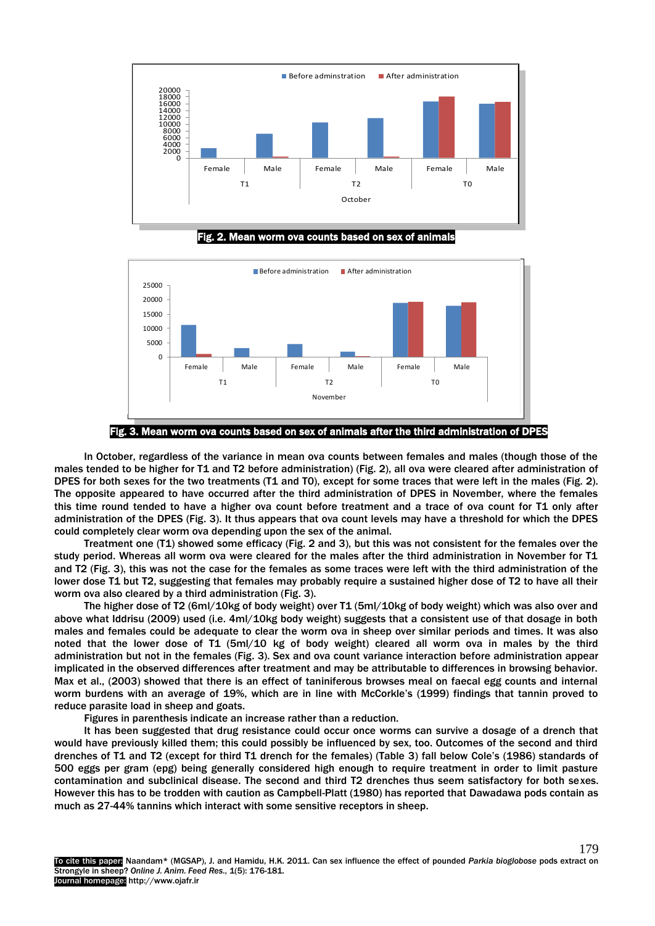





Fig. 3. Mean worm ova counts based on sex of animals after the third administration of DPES

In October, regardless of the variance in mean ova counts between females and males (though those of the males tended to be higher for T1 and T2 before administration) (Fig. 2), all ova were cleared after administration of DPES for both sexes for the two treatments (T1 and T0), except for some traces that were left in the males (Fig. 2). The opposite appeared to have occurred after the third administration of DPES in November, where the females this time round tended to have a higher ova count before treatment and a trace of ova count for T1 only after administration of the DPES (Fig. 3). It thus appears that ova count levels may have a threshold for which the DPES could completely clear worm ova depending upon the sex of the animal.

Treatment one (T1) showed some efficacy (Fig. 2 and 3), but this was not consistent for the females over the study period. Whereas all worm ova were cleared for the males after the third administration in November for T1 and T2 (Fig. 3), this was not the case for the females as some traces were left with the third administration of the lower dose T1 but T2, suggesting that females may probably require a sustained higher dose of T2 to have all their worm ova also cleared by a third administration (Fig. 3).

The higher dose of T2 (6ml/10kg of body weight) over T1 (5ml/10kg of body weight) which was also over and above what Iddrisu (2009) used (i.e. 4ml/10kg body weight) suggests that a consistent use of that dosage in both males and females could be adequate to clear the worm ova in sheep over similar periods and times. It was also noted that the lower dose of T1 (5ml/10 kg of body weight) cleared all worm ova in males by the third administration but not in the females (Fig. 3). Sex and ova count variance interaction before administration appear implicated in the observed differences after treatment and may be attributable to differences in browsing behavior. Max et al., (2003) showed that there is an effect of taniniferous browses meal on faecal egg counts and internal worm burdens with an average of 19%, which are in line with McCorkle's (1999) findings that tannin proved to reduce parasite load in sheep and goats.

Figures in parenthesis indicate an increase rather than a reduction.

It has been suggested that drug resistance could occur once worms can survive a dosage of a drench that would have previously killed them; this could possibly be influenced by sex, too. Outcomes of the second and third drenches of T1 and T2 (except for third T1 drench for the females) (Table 3) fall below Cole's (1986) standards of 500 eggs per gram (epg) being generally considered high enough to require treatment in order to limit pasture contamination and subclinical disease. The second and third T2 drenches thus seem satisfactory for both sexes. However this has to be trodden with caution as Campbell-Platt (1980) has reported that Dawadawa pods contain as much as 27-44% tannins which interact with some sensitive receptors in sheep.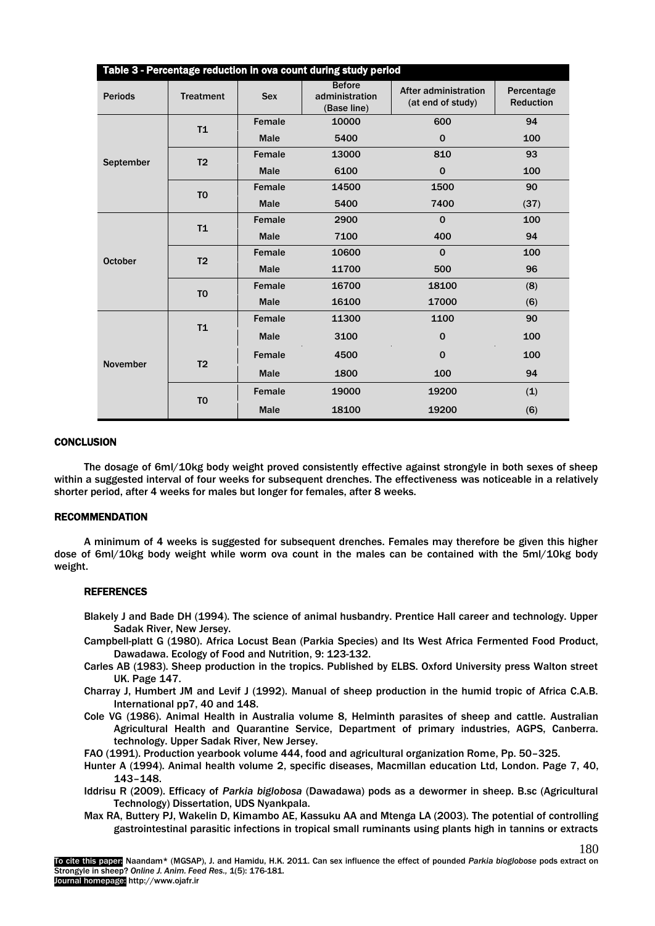| Table 3 - Percentage reduction in ova count during study period |                  |             |                                                |                                           |                                |  |  |
|-----------------------------------------------------------------|------------------|-------------|------------------------------------------------|-------------------------------------------|--------------------------------|--|--|
| <b>Periods</b>                                                  | <b>Treatment</b> | <b>Sex</b>  | <b>Before</b><br>administration<br>(Base line) | After administration<br>(at end of study) | Percentage<br><b>Reduction</b> |  |  |
| September                                                       | T <sub>1</sub>   | Female      | 10000                                          | 600                                       |                                |  |  |
|                                                                 |                  | <b>Male</b> | 5400                                           | $\mathbf 0$                               | 100                            |  |  |
|                                                                 | T <sub>2</sub>   | Female      | 13000                                          | 810                                       | 93                             |  |  |
|                                                                 |                  | <b>Male</b> | 6100                                           | $\mathbf 0$                               | 100                            |  |  |
|                                                                 | T <sub>0</sub>   | Female      | 14500                                          | 1500                                      | 90                             |  |  |
|                                                                 |                  | <b>Male</b> | 5400                                           | 7400                                      | (37)                           |  |  |
| <b>October</b>                                                  | T <sub>1</sub>   | Female      | 2900                                           | $\mathbf 0$                               | 100                            |  |  |
|                                                                 |                  | <b>Male</b> | 7100                                           | 400                                       | 94                             |  |  |
|                                                                 | T <sub>2</sub>   | Female      | 10600                                          | $\mathbf 0$                               | 100                            |  |  |
|                                                                 |                  | <b>Male</b> | 11700                                          | 500                                       | 96                             |  |  |
|                                                                 | T <sub>0</sub>   | Female      | 16700                                          | 18100                                     | (8)                            |  |  |
|                                                                 |                  | <b>Male</b> | 16100                                          | 17000                                     | (6)                            |  |  |
| <b>November</b>                                                 |                  | Female      | 11300                                          | 1100                                      | 90                             |  |  |
|                                                                 | T <sub>1</sub>   | <b>Male</b> | 3100                                           | $\mathbf 0$                               | 100                            |  |  |
|                                                                 | T <sub>2</sub>   | Female      | 4500                                           | $\Omega$                                  | 100                            |  |  |
|                                                                 |                  | <b>Male</b> | 1800                                           | 100                                       | 94                             |  |  |
|                                                                 | T <sub>0</sub>   | Female      | 19000                                          | 19200                                     | (1)                            |  |  |
|                                                                 |                  | <b>Male</b> | 18100                                          | 19200                                     | (6)                            |  |  |

## **CONCLUSION**

The dosage of 6ml/10kg body weight proved consistently effective against strongyle in both sexes of sheep within a suggested interval of four weeks for subsequent drenches. The effectiveness was noticeable in a relatively shorter period, after 4 weeks for males but longer for females, after 8 weeks.

## RECOMMENDATION

A minimum of 4 weeks is suggested for subsequent drenches. Females may therefore be given this higher dose of 6ml/10kg body weight while worm ova count in the males can be contained with the 5ml/10kg body weight.

#### **REFERENCES**

- Blakely J and Bade DH (1994). The science of animal husbandry. Prentice Hall career and technology. Upper Sadak River, New Jersey.
- Campbell-platt G (1980). Africa Locust Bean (Parkia Species) and Its West Africa Fermented Food Product, Dawadawa. Ecology of Food and Nutrition, 9: 123-132.
- Carles AB (1983). Sheep production in the tropics. Published by ELBS. Oxford University press Walton street UK. Page 147.
- Charray J, Humbert JM and Levif J (1992). Manual of sheep production in the humid tropic of Africa C.A.B. International pp7, 40 and 148.
- Cole VG (1986). Animal Health in Australia volume 8, Helminth parasites of sheep and cattle. Australian Agricultural Health and Quarantine Service, Department of primary industries, AGPS, Canberra. technology. Upper Sadak River, New Jersey.
- FAO (1991). Production yearbook volume 444, food and agricultural organization Rome, Pp. 50–325.
- Hunter A (1994). Animal health volume 2, specific diseases, Macmillan education Ltd, London. Page 7, 40, 143–148.
- Iddrisu R (2009). Efficacy of *Parkia biglobosa* (Dawadawa) pods as a dewormer in sheep. B.sc (Agricultural Technology) Dissertation, UDS Nyankpala.
- Max RA, Buttery PJ, Wakelin D, Kimambo AE, Kassuku AA and Mtenga LA (2003). The potential of controlling gastrointestinal parasitic infections in tropical small ruminants using plants high in tannins or extracts